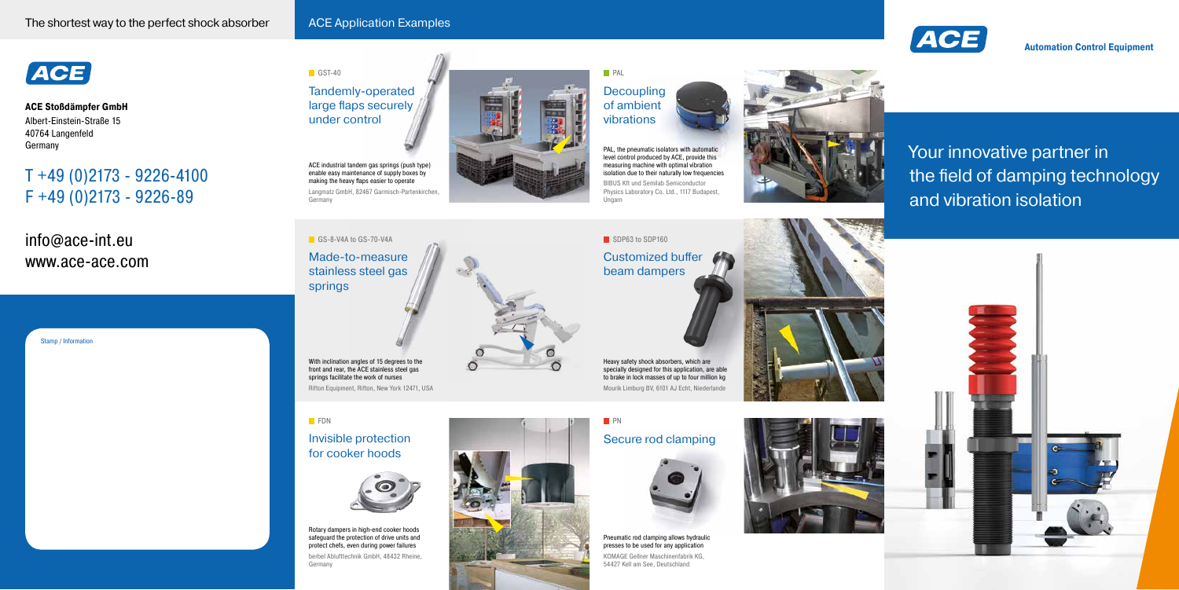Tandemly-operated large flaps securely under control

Invisible protection for cooker hoods

stainless steel gas springs

Langmatz GmbH, 82467 Garmisch-Partenkirchen, **Germany** 

ACE industrial tandem gas springs (push type) enable easy maintenance of supply boxes by making the heavy flaps easier to operate



With inclination angles of 15 degrees to the front and rear, the ACE stainless steel gas springs facilitate the work of nurses Rifton Equipment, Rifton, New York 12471, USA

### **FDN**



Rotary dampers in high-end cooker hoods safeguard the protection of drive units and protect chefs, even during power failures berbel Ablufttechnik GmbH, 48432 Rheine, Germany



 $\subset$ 

### **Decoupling** of ambient vibrations **PAL**

## Secure rod clamping

**PN** 



Pneumatic rod clamping allows hydraulic presses to be used for any application KOMAGE Gellner Maschinenfabrik KG, 54427 Kell am See, Deutschland





Customized buffer beam dampers

SDP63 to SDP160

Ungarn





Heavy safety shock absorbers, which are specially designed for this application, are able to brake in lock masses of up to four million kg Mourik Limburg BV, 6101 AJ Echt, Niederlande

PAL, the pneumatic isolators with automatic level control produced by ACE, provide this measuring machine with optimal vibration isolation due to their naturally low frequencies BIBUS Kft und Semilab Semiconductor Physics Laboratory Co. Ltd., 1117 Budapest,



**ACE Stoßdämpfer GmbH** Albert-Einstein-Straße 15 40764 Langenfeld Germany

# T +49 (0)2173 - 9226-4100 F +49 (0)2173 - 9226-89

info@ace-int.eu www.ace-ace.com **Automation Control Equipment**

### Stamp / Information

 $GST-40$ 

# Your innovative partner in the field of damping technology and vibration isolation